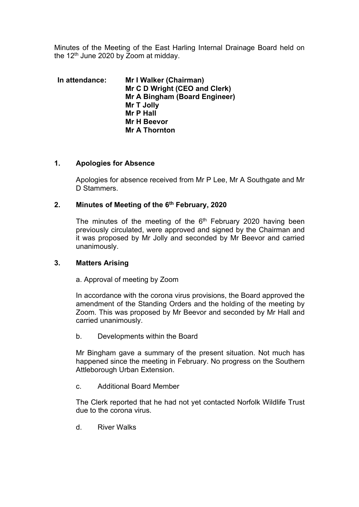Minutes of the Meeting of the East Harling Internal Drainage Board held on the  $12<sup>th</sup>$  June 2020 by Zoom at midday.

| In attendance: | Mr I Walker (Chairman)        |
|----------------|-------------------------------|
|                | Mr C D Wright (CEO and Clerk) |
|                | Mr A Bingham (Board Engineer) |
|                | Mr T Jolly                    |
|                | <b>Mr P Hall</b>              |
|                | Mr H Beevor                   |
|                | <b>Mr A Thornton</b>          |

## **1. Apologies for Absence**

Apologies for absence received from Mr P Lee, Mr A Southgate and Mr D Stammers.

## **2. Minutes of Meeting of the 6th February, 2020**

The minutes of the meeting of the  $6<sup>th</sup>$  February 2020 having been previously circulated, were approved and signed by the Chairman and it was proposed by Mr Jolly and seconded by Mr Beevor and carried unanimously.

#### **3. Matters Arising**

#### a. Approval of meeting by Zoom

In accordance with the corona virus provisions, the Board approved the amendment of the Standing Orders and the holding of the meeting by Zoom. This was proposed by Mr Beevor and seconded by Mr Hall and carried unanimously.

b. Developments within the Board

Mr Bingham gave a summary of the present situation. Not much has happened since the meeting in February. No progress on the Southern Attleborough Urban Extension.

c. Additional Board Member

The Clerk reported that he had not yet contacted Norfolk Wildlife Trust due to the corona virus.

d. River Walks